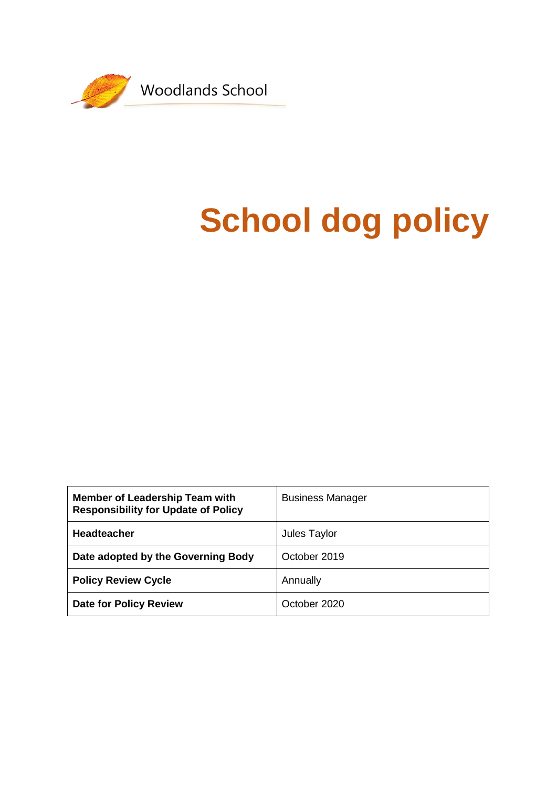

# **School dog policy**

| <b>Member of Leadership Team with</b><br><b>Responsibility for Update of Policy</b> | <b>Business Manager</b> |
|-------------------------------------------------------------------------------------|-------------------------|
| <b>Headteacher</b>                                                                  | Jules Taylor            |
| Date adopted by the Governing Body                                                  | October 2019            |
| <b>Policy Review Cycle</b>                                                          | Annually                |
| <b>Date for Policy Review</b>                                                       | October 2020            |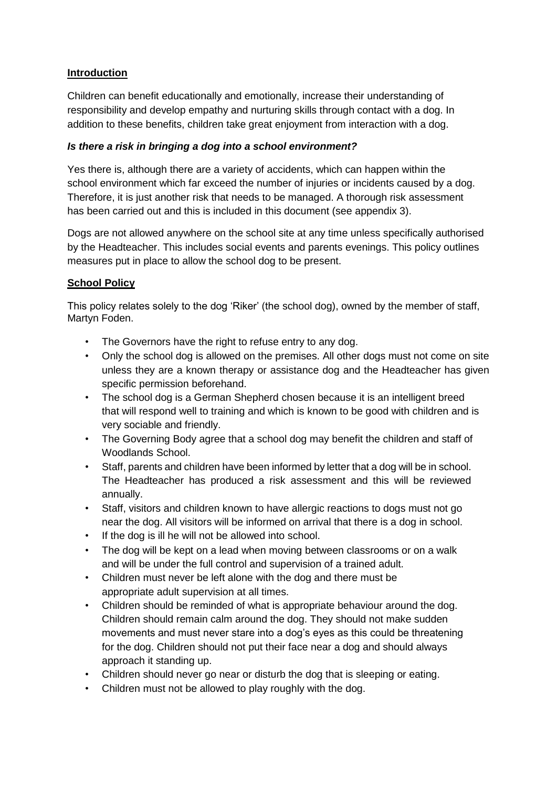#### **Introduction**

Children can benefit educationally and emotionally, increase their understanding of responsibility and develop empathy and nurturing skills through contact with a dog. In addition to these benefits, children take great enjoyment from interaction with a dog.

#### *Is there a risk in bringing a dog into a school environment?*

Yes there is, although there are a variety of accidents, which can happen within the school environment which far exceed the number of injuries or incidents caused by a dog. Therefore, it is just another risk that needs to be managed. A thorough risk assessment has been carried out and this is included in this document (see appendix 3).

Dogs are not allowed anywhere on the school site at any time unless specifically authorised by the Headteacher. This includes social events and parents evenings. This policy outlines measures put in place to allow the school dog to be present.

## **School Policy**

This policy relates solely to the dog 'Riker' (the school dog), owned by the member of staff, Martyn Foden.

- The Governors have the right to refuse entry to any dog.
- Only the school dog is allowed on the premises. All other dogs must not come on site unless they are a known therapy or assistance dog and the Headteacher has given specific permission beforehand.
- The school dog is a German Shepherd chosen because it is an intelligent breed that will respond well to training and which is known to be good with children and is very sociable and friendly.
- The Governing Body agree that a school dog may benefit the children and staff of Woodlands School.
- Staff, parents and children have been informed by letter that a dog will be in school. The Headteacher has produced a risk assessment and this will be reviewed annually.
- Staff, visitors and children known to have allergic reactions to dogs must not go near the dog. All visitors will be informed on arrival that there is a dog in school.
- If the dog is ill he will not be allowed into school.
- The dog will be kept on a lead when moving between classrooms or on a walk and will be under the full control and supervision of a trained adult.
- Children must never be left alone with the dog and there must be appropriate adult supervision at all times.
- Children should be reminded of what is appropriate behaviour around the dog. Children should remain calm around the dog. They should not make sudden movements and must never stare into a dog's eyes as this could be threatening for the dog. Children should not put their face near a dog and should always approach it standing up.
- Children should never go near or disturb the dog that is sleeping or eating.
- Children must not be allowed to play roughly with the dog.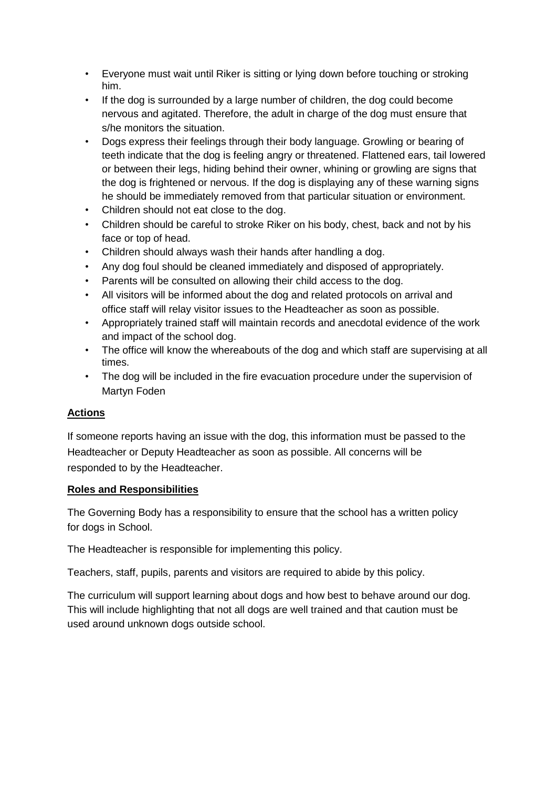- Everyone must wait until Riker is sitting or lying down before touching or stroking him.
- If the dog is surrounded by a large number of children, the dog could become nervous and agitated. Therefore, the adult in charge of the dog must ensure that s/he monitors the situation.
- Dogs express their feelings through their body language. Growling or bearing of teeth indicate that the dog is feeling angry or threatened. Flattened ears, tail lowered or between their legs, hiding behind their owner, whining or growling are signs that the dog is frightened or nervous. If the dog is displaying any of these warning signs he should be immediately removed from that particular situation or environment.
- Children should not eat close to the dog.
- Children should be careful to stroke Riker on his body, chest, back and not by his face or top of head.
- Children should always wash their hands after handling a dog.
- Any dog foul should be cleaned immediately and disposed of appropriately.
- Parents will be consulted on allowing their child access to the dog.
- All visitors will be informed about the dog and related protocols on arrival and office staff will relay visitor issues to the Headteacher as soon as possible.
- Appropriately trained staff will maintain records and anecdotal evidence of the work and impact of the school dog.
- The office will know the whereabouts of the dog and which staff are supervising at all times.
- The dog will be included in the fire evacuation procedure under the supervision of Martyn Foden

#### **Actions**

If someone reports having an issue with the dog, this information must be passed to the Headteacher or Deputy Headteacher as soon as possible. All concerns will be responded to by the Headteacher.

#### **Roles and Responsibilities**

The Governing Body has a responsibility to ensure that the school has a written policy for dogs in School.

The Headteacher is responsible for implementing this policy.

Teachers, staff, pupils, parents and visitors are required to abide by this policy.

The curriculum will support learning about dogs and how best to behave around our dog. This will include highlighting that not all dogs are well trained and that caution must be used around unknown dogs outside school.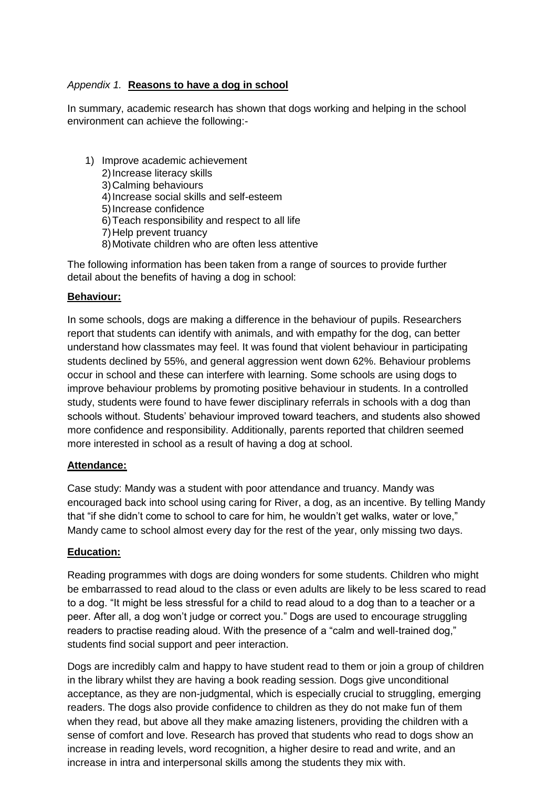#### *Appendix 1.* **Reasons to have a dog in school**

In summary, academic research has shown that dogs working and helping in the school environment can achieve the following:-

1) Improve academic achievement 2)Increase literacy skills 3)Calming behaviours 4)Increase social skills and self-esteem 5)Increase confidence 6)Teach responsibility and respect to all life 7)Help prevent truancy 8)Motivate children who are often less attentive

The following information has been taken from a range of sources to provide further detail about the benefits of having a dog in school:

#### **Behaviour:**

In some schools, dogs are making a difference in the behaviour of pupils. Researchers report that students can identify with animals, and with empathy for the dog, can better understand how classmates may feel. It was found that violent behaviour in participating students declined by 55%, and general aggression went down 62%. Behaviour problems occur in school and these can interfere with learning. Some schools are using dogs to improve behaviour problems by promoting positive behaviour in students. In a controlled study, students were found to have fewer disciplinary referrals in schools with a dog than schools without. Students' behaviour improved toward teachers, and students also showed more confidence and responsibility. Additionally, parents reported that children seemed more interested in school as a result of having a dog at school.

#### **Attendance:**

Case study: Mandy was a student with poor attendance and truancy. Mandy was encouraged back into school using caring for River, a dog, as an incentive. By telling Mandy that "if she didn't come to school to care for him, he wouldn't get walks, water or love," Mandy came to school almost every day for the rest of the year, only missing two days.

#### **Education:**

Reading programmes with dogs are doing wonders for some students. Children who might be embarrassed to read aloud to the class or even adults are likely to be less scared to read to a dog. "It might be less stressful for a child to read aloud to a dog than to a teacher or a peer. After all, a dog won't judge or correct you." Dogs are used to encourage struggling readers to practise reading aloud. With the presence of a "calm and well-trained dog," students find social support and peer interaction.

Dogs are incredibly calm and happy to have student read to them or join a group of children in the library whilst they are having a book reading session. Dogs give unconditional acceptance, as they are non-judgmental, which is especially crucial to struggling, emerging readers. The dogs also provide confidence to children as they do not make fun of them when they read, but above all they make amazing listeners, providing the children with a sense of comfort and love. Research has proved that students who read to dogs show an increase in reading levels, word recognition, a higher desire to read and write, and an increase in intra and interpersonal skills among the students they mix with.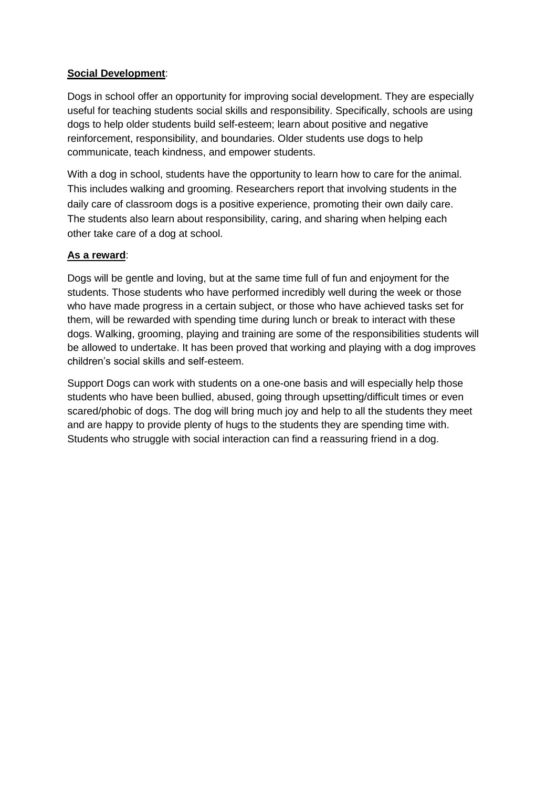#### **Social Development**:

Dogs in school offer an opportunity for improving social development. They are especially useful for teaching students social skills and responsibility. Specifically, schools are using dogs to help older students build self-esteem; learn about positive and negative reinforcement, responsibility, and boundaries. Older students use dogs to help communicate, teach kindness, and empower students.

With a dog in school, students have the opportunity to learn how to care for the animal. This includes walking and grooming. Researchers report that involving students in the daily care of classroom dogs is a positive experience, promoting their own daily care. The students also learn about responsibility, caring, and sharing when helping each other take care of a dog at school.

## **As a reward**:

Dogs will be gentle and loving, but at the same time full of fun and enjoyment for the students. Those students who have performed incredibly well during the week or those who have made progress in a certain subject, or those who have achieved tasks set for them, will be rewarded with spending time during lunch or break to interact with these dogs. Walking, grooming, playing and training are some of the responsibilities students will be allowed to undertake. It has been proved that working and playing with a dog improves children's social skills and self-esteem.

Support Dogs can work with students on a one-one basis and will especially help those students who have been bullied, abused, going through upsetting/difficult times or even scared/phobic of dogs. The dog will bring much joy and help to all the students they meet and are happy to provide plenty of hugs to the students they are spending time with. Students who struggle with social interaction can find a reassuring friend in a dog.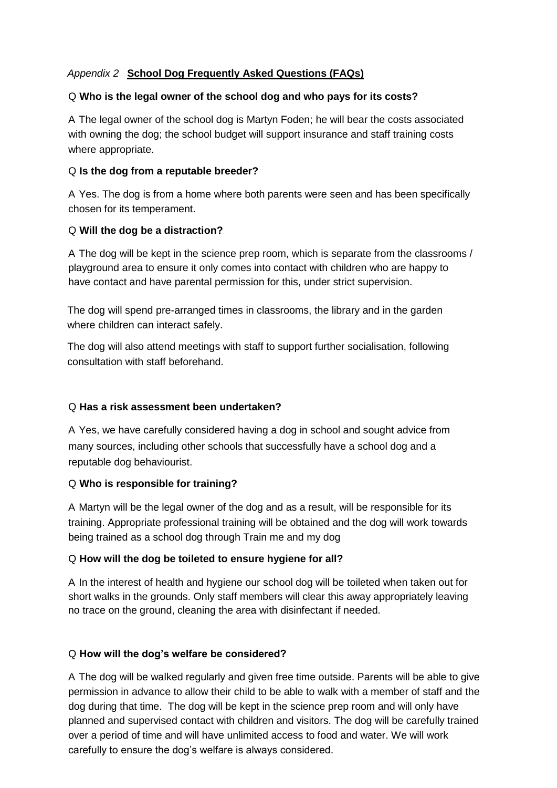## *Appendix 2* **School Dog Frequently Asked Questions (FAQs)**

#### Q **Who is the legal owner of the school dog and who pays for its costs?**

A The legal owner of the school dog is Martyn Foden; he will bear the costs associated with owning the dog; the school budget will support insurance and staff training costs where appropriate.

#### Q **Is the dog from a reputable breeder?**

A Yes. The dog is from a home where both parents were seen and has been specifically chosen for its temperament.

#### Q **Will the dog be a distraction?**

A The dog will be kept in the science prep room, which is separate from the classrooms / playground area to ensure it only comes into contact with children who are happy to have contact and have parental permission for this, under strict supervision.

The dog will spend pre-arranged times in classrooms, the library and in the garden where children can interact safely.

The dog will also attend meetings with staff to support further socialisation, following consultation with staff beforehand.

#### Q **Has a risk assessment been undertaken?**

A Yes, we have carefully considered having a dog in school and sought advice from many sources, including other schools that successfully have a school dog and a reputable dog behaviourist.

#### Q **Who is responsible for training?**

A Martyn will be the legal owner of the dog and as a result, will be responsible for its training. Appropriate professional training will be obtained and the dog will work towards being trained as a school dog through Train me and my dog

#### Q **How will the dog be toileted to ensure hygiene for all?**

A In the interest of health and hygiene our school dog will be toileted when taken out for short walks in the grounds. Only staff members will clear this away appropriately leaving no trace on the ground, cleaning the area with disinfectant if needed.

#### Q **How will the dog's welfare be considered?**

A The dog will be walked regularly and given free time outside. Parents will be able to give permission in advance to allow their child to be able to walk with a member of staff and the dog during that time. The dog will be kept in the science prep room and will only have planned and supervised contact with children and visitors. The dog will be carefully trained over a period of time and will have unlimited access to food and water. We will work carefully to ensure the dog's welfare is always considered.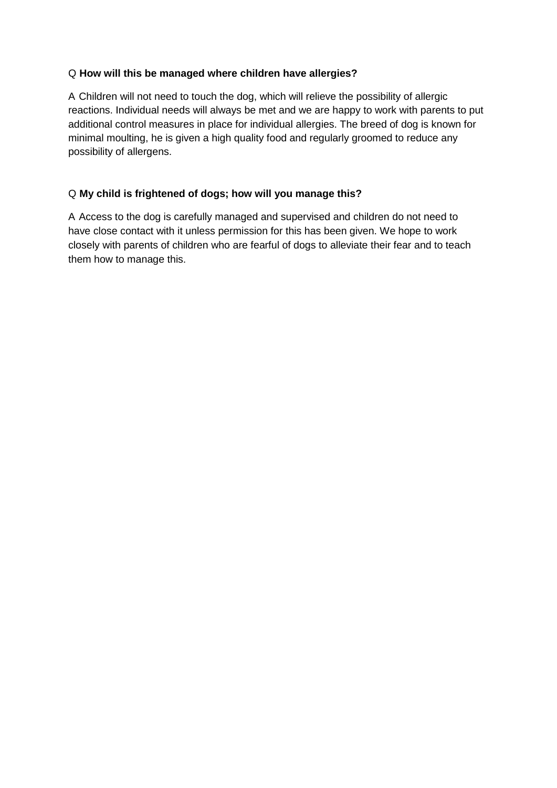#### Q **How will this be managed where children have allergies?**

A Children will not need to touch the dog, which will relieve the possibility of allergic reactions. Individual needs will always be met and we are happy to work with parents to put additional control measures in place for individual allergies. The breed of dog is known for minimal moulting, he is given a high quality food and regularly groomed to reduce any possibility of allergens.

#### Q **My child is frightened of dogs; how will you manage this?**

A Access to the dog is carefully managed and supervised and children do not need to have close contact with it unless permission for this has been given. We hope to work closely with parents of children who are fearful of dogs to alleviate their fear and to teach them how to manage this.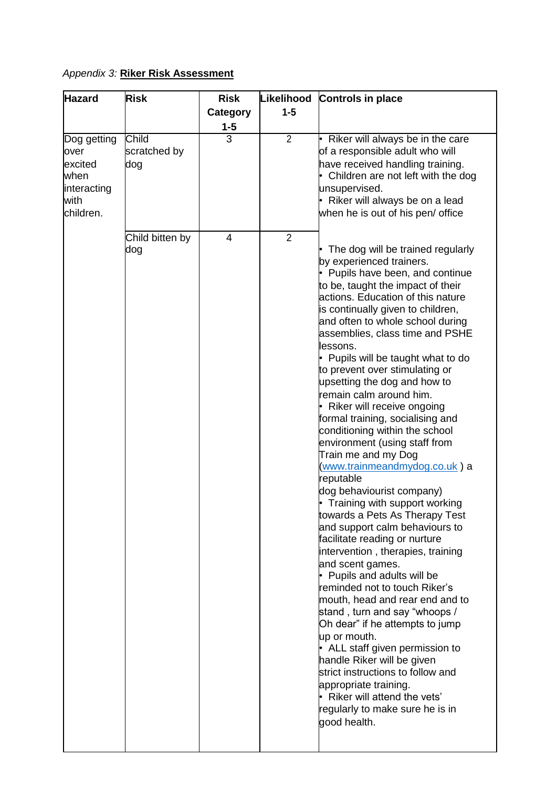## *Appendix 3:* **Riker Risk Assessment**

| <b>Hazard</b>                                                              | <b>Risk</b>                                     | <b>Risk</b>         |                                  | Likelihood Controls in place                                                                                                                                                                                                                                                                                                                                                                                                                                                                                                                                                                                                                                                                                                                                                                                                                                                                                                                                                                                                                                                                                                                                                                                                                                                |
|----------------------------------------------------------------------------|-------------------------------------------------|---------------------|----------------------------------|-----------------------------------------------------------------------------------------------------------------------------------------------------------------------------------------------------------------------------------------------------------------------------------------------------------------------------------------------------------------------------------------------------------------------------------------------------------------------------------------------------------------------------------------------------------------------------------------------------------------------------------------------------------------------------------------------------------------------------------------------------------------------------------------------------------------------------------------------------------------------------------------------------------------------------------------------------------------------------------------------------------------------------------------------------------------------------------------------------------------------------------------------------------------------------------------------------------------------------------------------------------------------------|
|                                                                            |                                                 | <b>Category</b>     | $1 - 5$                          |                                                                                                                                                                                                                                                                                                                                                                                                                                                                                                                                                                                                                                                                                                                                                                                                                                                                                                                                                                                                                                                                                                                                                                                                                                                                             |
|                                                                            |                                                 | $1 - 5$             |                                  |                                                                                                                                                                                                                                                                                                                                                                                                                                                                                                                                                                                                                                                                                                                                                                                                                                                                                                                                                                                                                                                                                                                                                                                                                                                                             |
| Dog getting<br>over<br>excited<br>when<br>interacting<br>with<br>children. | Child<br>scratched by<br>dog<br>Child bitten by | $\overline{3}$<br>4 | $\overline{2}$<br>$\overline{2}$ | Riker will always be in the care<br>of a responsible adult who will<br>have received handling training.<br>Children are not left with the dog<br>unsupervised.<br>Riker will always be on a lead<br>when he is out of his pen/ office                                                                                                                                                                                                                                                                                                                                                                                                                                                                                                                                                                                                                                                                                                                                                                                                                                                                                                                                                                                                                                       |
|                                                                            | dog                                             |                     |                                  | The dog will be trained regularly<br>by experienced trainers.<br>Pupils have been, and continue<br>to be, taught the impact of their<br>actions. Education of this nature<br>is continually given to children,<br>and often to whole school during<br>assemblies, class time and PSHE<br>lessons.<br>Pupils will be taught what to do<br>to prevent over stimulating or<br>upsetting the dog and how to<br>remain calm around him.<br>Riker will receive ongoing<br>formal training, socialising and<br>conditioning within the school<br>environment (using staff from<br>Train me and my Dog<br>www.trainmeandmydog.co.uk) a<br>reputable<br>dog behaviourist company)<br>Training with support working<br>towards a Pets As Therapy Test<br>and support calm behaviours to<br>facilitate reading or nurture<br>intervention, therapies, training<br>and scent games.<br>Pupils and adults will be<br>reminded not to touch Riker's<br>mouth, head and rear end and to<br>stand, turn and say "whoops /<br>Oh dear" if he attempts to jump<br>up or mouth.<br>ALL staff given permission to<br>handle Riker will be given<br>strict instructions to follow and<br>appropriate training.<br>Riker will attend the vets'<br>regularly to make sure he is in<br>good health. |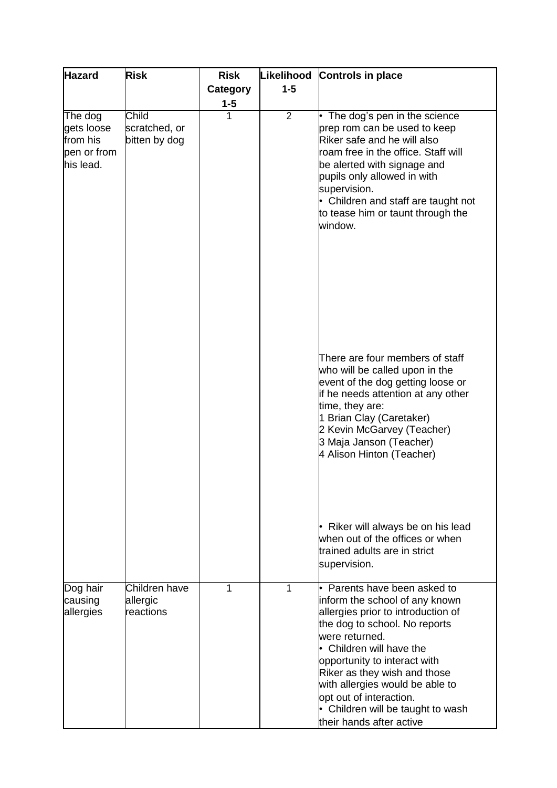| <b>Hazard</b>                                                 | <b>Risk</b>                                    | <b>Risk</b>  | Likelihood     | <b>Controls in place</b>                                                                                                                                                                                                                                                                                                                                                                                                                                |
|---------------------------------------------------------------|------------------------------------------------|--------------|----------------|---------------------------------------------------------------------------------------------------------------------------------------------------------------------------------------------------------------------------------------------------------------------------------------------------------------------------------------------------------------------------------------------------------------------------------------------------------|
|                                                               |                                                | Category     | $1 - 5$        |                                                                                                                                                                                                                                                                                                                                                                                                                                                         |
|                                                               |                                                |              |                |                                                                                                                                                                                                                                                                                                                                                                                                                                                         |
| The dog<br>gets loose<br>from his<br>pen or from<br>his lead. | <b>Child</b><br>scratched, or<br>bitten by dog | $1 - 5$<br>1 | $\overline{2}$ | The dog's pen in the science<br>prep rom can be used to keep<br>Riker safe and he will also<br>roam free in the office. Staff will<br>be alerted with signage and<br>pupils only allowed in with<br>supervision.<br>• Children and staff are taught not<br>to tease him or taunt through the<br>window.<br>There are four members of staff<br>who will be called upon in the<br>event of the dog getting loose or<br>if he needs attention at any other |
|                                                               |                                                |              |                | time, they are:<br>1 Brian Clay (Caretaker)<br>2 Kevin McGarvey (Teacher)<br>3 Maja Janson (Teacher)<br>4 Alison Hinton (Teacher)<br>Riker will always be on his lead<br>when out of the offices or when<br>trained adults are in strict<br>supervision.                                                                                                                                                                                                |
| Dog hair<br>causing<br>allergies                              | Children have<br>allergic<br>reactions         | 1            | 1              | Parents have been asked to<br>inform the school of any known<br>allergies prior to introduction of<br>the dog to school. No reports<br>were returned.<br>Children will have the<br>opportunity to interact with<br>Riker as they wish and those<br>with allergies would be able to<br>opt out of interaction.<br>Children will be taught to wash<br>their hands after active                                                                            |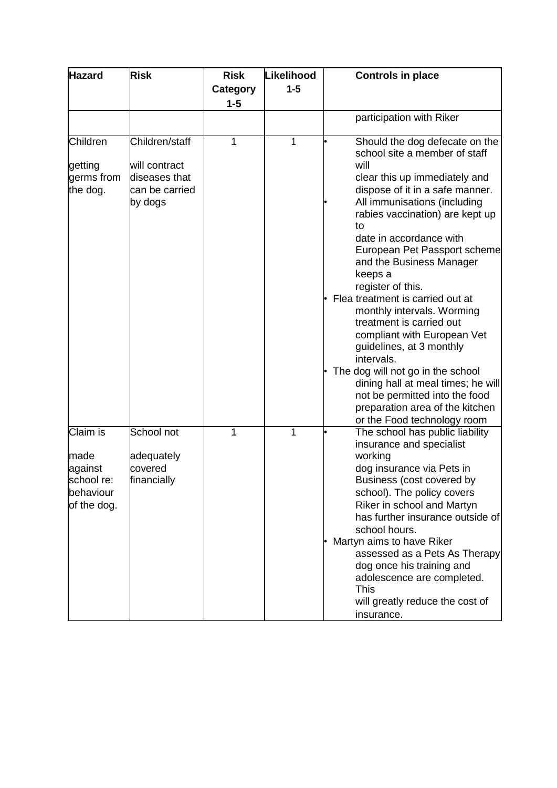| <b>Hazard</b>                                                         | <b>Risk</b>                                        | <b>Risk</b> | Likelihood | <b>Controls in place</b>                                                                                                                                                                                                                                                                                                                                                           |
|-----------------------------------------------------------------------|----------------------------------------------------|-------------|------------|------------------------------------------------------------------------------------------------------------------------------------------------------------------------------------------------------------------------------------------------------------------------------------------------------------------------------------------------------------------------------------|
|                                                                       |                                                    | Category    | $1 - 5$    |                                                                                                                                                                                                                                                                                                                                                                                    |
|                                                                       |                                                    | $1 - 5$     |            |                                                                                                                                                                                                                                                                                                                                                                                    |
|                                                                       |                                                    |             |            | participation with Riker                                                                                                                                                                                                                                                                                                                                                           |
| Children                                                              | Children/staff                                     | 1           | 1          | Should the dog defecate on the<br>school site a member of staff                                                                                                                                                                                                                                                                                                                    |
| getting                                                               | will contract                                      |             |            | will                                                                                                                                                                                                                                                                                                                                                                               |
| germs from<br>the dog.                                                | diseases that<br>can be carried<br>by dogs         |             |            | clear this up immediately and<br>dispose of it in a safe manner.<br>All immunisations (including<br>rabies vaccination) are kept up<br>to<br>date in accordance with<br>European Pet Passport scheme<br>and the Business Manager<br>keeps a<br>register of this.<br>Flea treatment is carried out at                                                                               |
|                                                                       |                                                    |             |            | monthly intervals. Worming<br>treatment is carried out<br>compliant with European Vet<br>guidelines, at 3 monthly<br>intervals.<br>The dog will not go in the school<br>dining hall at meal times; he will<br>not be permitted into the food                                                                                                                                       |
|                                                                       |                                                    |             |            | preparation area of the kitchen<br>or the Food technology room                                                                                                                                                                                                                                                                                                                     |
| Claim is<br>made<br>against<br>school re:<br>behaviour<br>of the dog. | School not<br>adequately<br>covered<br>financially | 1           | 1          | The school has public liability<br>insurance and specialist<br>working<br>dog insurance via Pets in<br>Business (cost covered by<br>school). The policy covers<br>Riker in school and Martyn<br>has further insurance outside of<br>school hours.<br>Martyn aims to have Riker<br>assessed as a Pets As Therapy<br>dog once his training and<br>adolescence are completed.<br>This |
|                                                                       |                                                    |             |            | will greatly reduce the cost of<br>insurance.                                                                                                                                                                                                                                                                                                                                      |